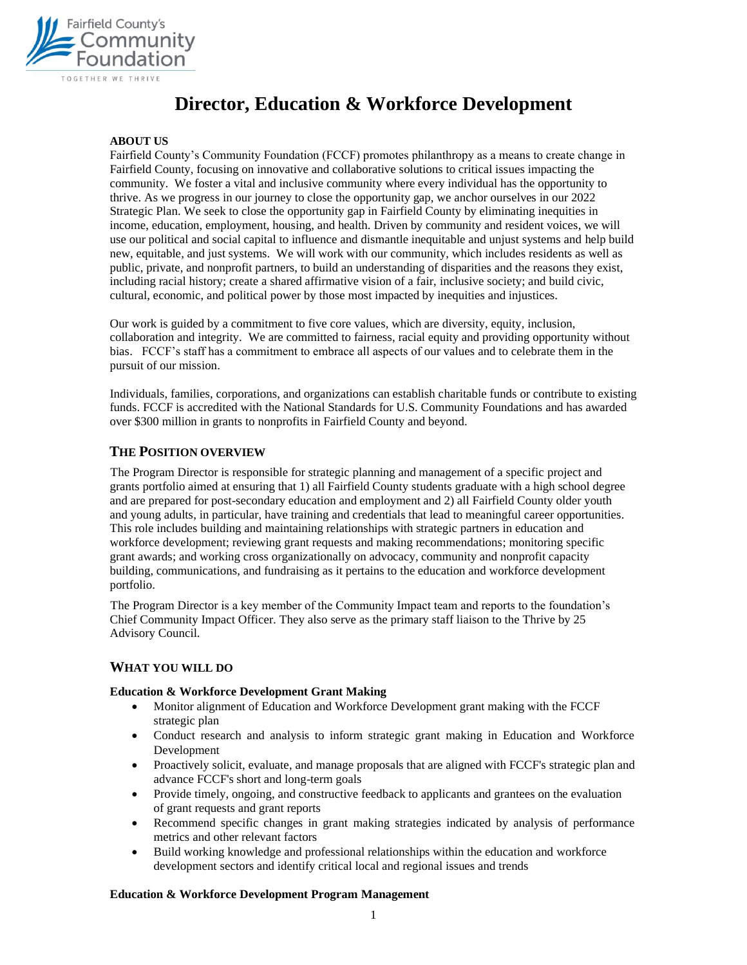

# **Director, Education & Workforce Development**

## **ABOUT US**

Fairfield County's Community Foundation (FCCF) promotes philanthropy as a means to create change in Fairfield County, focusing on innovative and collaborative solutions to critical issues impacting the community. We foster a vital and inclusive community where every individual has the opportunity to thrive. As we progress in our journey to close the opportunity gap, we anchor ourselves in our 2022 Strategic Plan. We seek to close the opportunity gap in Fairfield County by eliminating inequities in income, education, employment, housing, and health. Driven by community and resident voices, we will use our political and social capital to influence and dismantle inequitable and unjust systems and help build new, equitable, and just systems. We will work with our community, which includes residents as well as public, private, and nonprofit partners, to build an understanding of disparities and the reasons they exist, including racial history; create a shared affirmative vision of a fair, inclusive society; and build civic, cultural, economic, and political power by those most impacted by inequities and injustices.

Our work is guided by a commitment to five core values, which are diversity, equity, inclusion, collaboration and integrity. We are committed to fairness, racial equity and providing opportunity without bias. FCCF's staff has a commitment to embrace all aspects of our values and to celebrate them in the pursuit of our mission.

Individuals, families, corporations, and organizations can establish charitable funds or contribute to existing funds. FCCF is accredited with the National Standards for U.S. Community Foundations and has awarded over \$300 million in grants to nonprofits in Fairfield County and beyond.

## **THE POSITION OVERVIEW**

The Program Director is responsible for strategic planning and management of a specific project and grants portfolio aimed at ensuring that 1) all Fairfield County students graduate with a high school degree and are prepared for post-secondary education and employment and 2) all Fairfield County older youth and young adults, in particular, have training and credentials that lead to meaningful career opportunities. This role includes building and maintaining relationships with strategic partners in education and workforce development; reviewing grant requests and making recommendations; monitoring specific grant awards; and working cross organizationally on advocacy, community and nonprofit capacity building, communications, and fundraising as it pertains to the education and workforce development portfolio.

The Program Director is a key member of the Community Impact team and reports to the foundation's Chief Community Impact Officer. They also serve as the primary staff liaison to the Thrive by 25 Advisory Council.

#### **WHAT YOU WILL DO**

#### **Education & Workforce Development Grant Making**

- Monitor alignment of Education and Workforce Development grant making with the FCCF strategic plan
- Conduct research and analysis to inform strategic grant making in Education and Workforce Development
- Proactively solicit, evaluate, and manage proposals that are aligned with FCCF's strategic plan and advance FCCF's short and long-term goals
- Provide timely, ongoing, and constructive feedback to applicants and grantees on the evaluation of grant requests and grant reports
- Recommend specific changes in grant making strategies indicated by analysis of performance metrics and other relevant factors
- Build working knowledge and professional relationships within the education and workforce development sectors and identify critical local and regional issues and trends

#### **Education & Workforce Development Program Management**